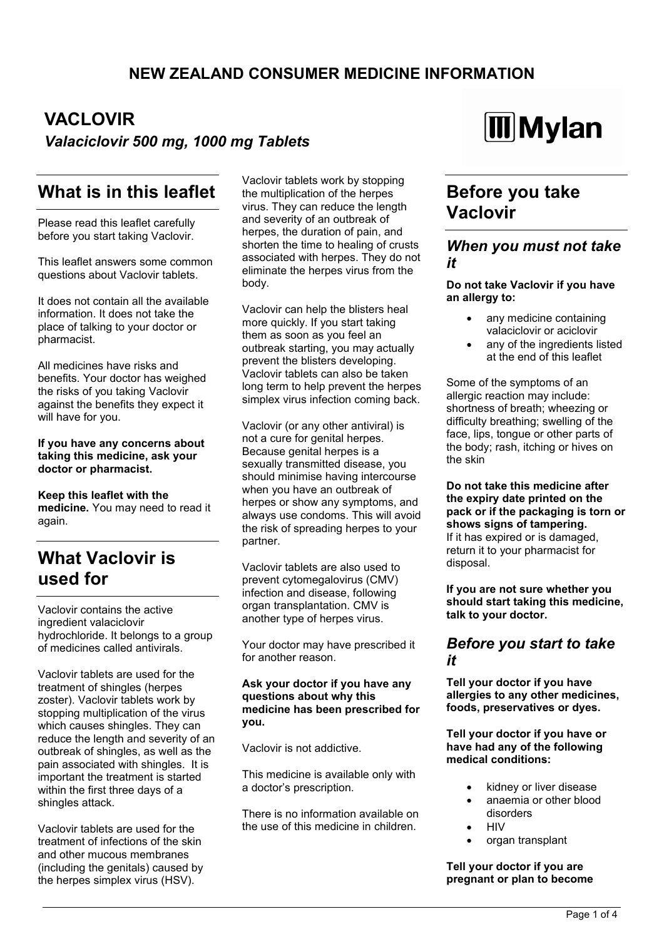# **VACLOVIR** *Valaciclovir 500 mg, 1000 mg Tablets*

# **What is in this leaflet**

Please read this leaflet carefully before you start taking Vaclovir.

This leaflet answers some common questions about Vaclovir tablets.

It does not contain all the available information. It does not take the place of talking to your doctor or pharmacist.

All medicines have risks and benefits. Your doctor has weighed the risks of you taking Vaclovir against the benefits they expect it will have for you.

#### **If you have any concerns about taking this medicine, ask your doctor or pharmacist.**

**Keep this leaflet with the medicine.** You may need to read it again.

# **What Vaclovir is used for**

Vaclovir contains the active ingredient valaciclovir hydrochloride. It belongs to a group of medicines called antivirals.

Vaclovir tablets are used for the treatment of shingles (herpes zoster). Vaclovir tablets work by stopping multiplication of the virus which causes shingles. They can reduce the length and severity of an outbreak of shingles, as well as the pain associated with shingles. It is important the treatment is started within the first three days of a shingles attack.

Vaclovir tablets are used for the treatment of infections of the skin and other mucous membranes (including the genitals) caused by the herpes simplex virus (HSV).

Vaclovir tablets work by stopping the multiplication of the herpes virus. They can reduce the length and severity of an outbreak of herpes, the duration of pain, and shorten the time to healing of crusts associated with herpes. They do not eliminate the herpes virus from the body.

Vaclovir can help the blisters heal more quickly. If you start taking them as soon as you feel an outbreak starting, you may actually prevent the blisters developing. Vaclovir tablets can also be taken long term to help prevent the herpes simplex virus infection coming back.

Vaclovir (or any other antiviral) is not a cure for genital herpes. Because genital herpes is a sexually transmitted disease, you should minimise having intercourse when you have an outbreak of herpes or show any symptoms, and always use condoms. This will avoid the risk of spreading herpes to your partner.

Vaclovir tablets are also used to prevent cytomegalovirus (CMV) infection and disease, following organ transplantation. CMV is another type of herpes virus.

Your doctor may have prescribed it for another reason.

**Ask your doctor if you have any questions about why this medicine has been prescribed for you.**

Vaclovir is not addictive.

This medicine is available only with a doctor's prescription.

There is no information available on the use of this medicine in children.



# **Before you take Vaclovir**

### *When you must not take it*

### **Do not take Vaclovir if you have an allergy to:**

- any medicine containing valaciclovir or aciclovir
- any of the ingredients listed at the end of this leaflet

Some of the symptoms of an allergic reaction may include: shortness of breath; wheezing or difficulty breathing; swelling of the face, lips, tongue or other parts of the body; rash, itching or hives on the skin

**Do not take this medicine after the expiry date printed on the pack or if the packaging is torn or shows signs of tampering.** If it has expired or is damaged, return it to your pharmacist for disposal.

**If you are not sure whether you should start taking this medicine, talk to your doctor.**

### *Before you start to take it*

**Tell your doctor if you have allergies to any other medicines, foods, preservatives or dyes.**

**Tell your doctor if you have or have had any of the following medical conditions:**

- kidney or liver disease
- anaemia or other blood disorders
- **HIV**
- organ transplant

**Tell your doctor if you are pregnant or plan to become**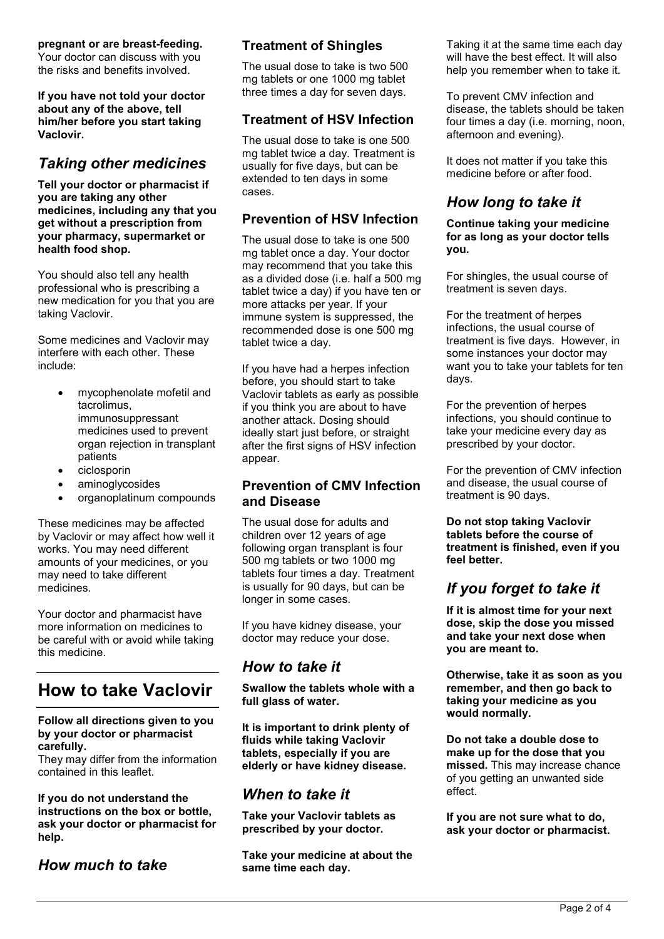**pregnant or are breast-feeding.** Your doctor can discuss with you

the risks and benefits involved.

**If you have not told your doctor about any of the above, tell him/her before you start taking Vaclovir.**

## *Taking other medicines*

**Tell your doctor or pharmacist if you are taking any other medicines, including any that you get without a prescription from your pharmacy, supermarket or health food shop.**

You should also tell any health professional who is prescribing a new medication for you that you are taking Vaclovir.

Some medicines and Vaclovir may interfere with each other. These include:

- mycophenolate mofetil and tacrolimus, immunosuppressant medicines used to prevent organ rejection in transplant patients
- ciclosporin
- aminoglycosides
- organoplatinum compounds

These medicines may be affected by Vaclovir or may affect how well it works. You may need different amounts of your medicines, or you may need to take different medicines.

Your doctor and pharmacist have more information on medicines to be careful with or avoid while taking this medicine.

# **How to take Vaclovir**

#### **Follow all directions given to you by your doctor or pharmacist carefully.**

They may differ from the information contained in this leaflet.

#### **If you do not understand the instructions on the box or bottle, ask your doctor or pharmacist for help.**

## *How much to take*

### **Treatment of Shingles**

The usual dose to take is two 500 mg tablets or one 1000 mg tablet three times a day for seven days.

### **Treatment of HSV Infection**

The usual dose to take is one 500 mg tablet twice a day. Treatment is usually for five days, but can be extended to ten days in some cases.

### **Prevention of HSV Infection**

The usual dose to take is one 500 mg tablet once a day. Your doctor may recommend that you take this as a divided dose (i.e. half a 500 mg tablet twice a day) if you have ten or more attacks per year. If your immune system is suppressed, the recommended dose is one 500 mg tablet twice a day.

If you have had a herpes infection before, you should start to take Vaclovir tablets as early as possible if you think you are about to have another attack. Dosing should ideally start just before, or straight after the first signs of HSV infection appear.

### **Prevention of CMV Infection and Disease**

The usual dose for adults and children over 12 years of age following organ transplant is four 500 mg tablets or two 1000 mg tablets four times a day. Treatment is usually for 90 days, but can be longer in some cases.

If you have kidney disease, your doctor may reduce your dose.

### *How to take it*

**Swallow the tablets whole with a full glass of water.**

**It is important to drink plenty of fluids while taking Vaclovir tablets, especially if you are elderly or have kidney disease.**

### *When to take it*

**Take your Vaclovir tablets as prescribed by your doctor.** 

**Take your medicine at about the same time each day.**

Taking it at the same time each day will have the best effect. It will also help you remember when to take it.

To prevent CMV infection and disease, the tablets should be taken four times a day (i.e. morning, noon, afternoon and evening).

It does not matter if you take this medicine before or after food.

## *How long to take it*

**Continue taking your medicine for as long as your doctor tells you.**

For shingles, the usual course of treatment is seven days.

For the treatment of herpes infections, the usual course of treatment is five days. However, in some instances your doctor may want you to take your tablets for ten days.

For the prevention of herpes infections, you should continue to take your medicine every day as prescribed by your doctor.

For the prevention of CMV infection and disease, the usual course of treatment is 90 days.

**Do not stop taking Vaclovir tablets before the course of treatment is finished, even if you feel better.**

## *If you forget to take it*

**If it is almost time for your next dose, skip the dose you missed and take your next dose when you are meant to.**

**Otherwise, take it as soon as you remember, and then go back to taking your medicine as you would normally.**

**Do not take a double dose to make up for the dose that you missed.** This may increase chance of you getting an unwanted side effect.

**If you are not sure what to do, ask your doctor or pharmacist.**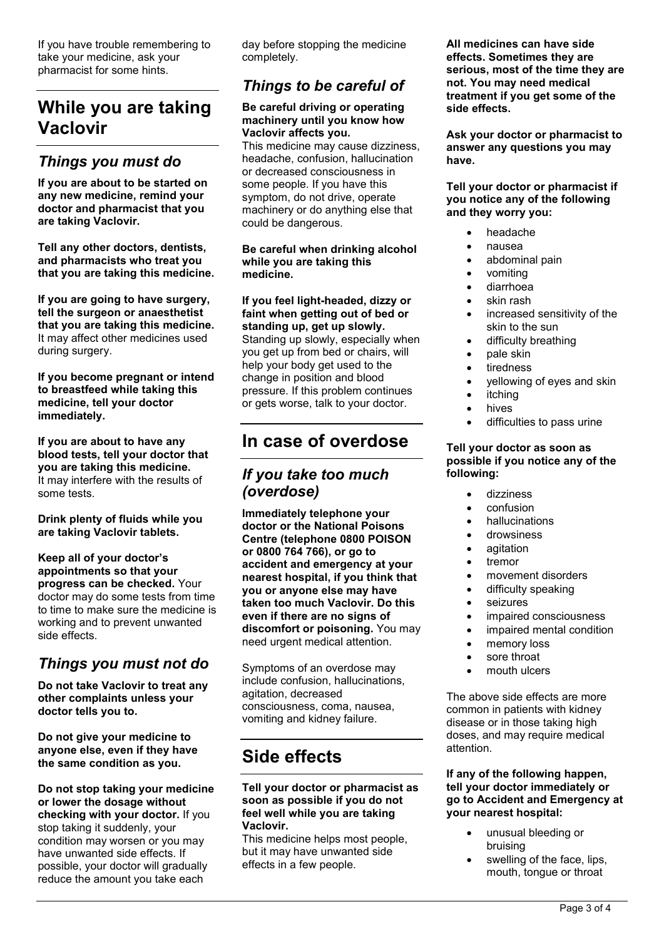If you have trouble remembering to take your medicine, ask your pharmacist for some hints.

# **While you are taking Vaclovir**

## *Things you must do*

**If you are about to be started on any new medicine, remind your doctor and pharmacist that you are taking Vaclovir.**

**Tell any other doctors, dentists, and pharmacists who treat you that you are taking this medicine.**

**If you are going to have surgery, tell the surgeon or anaesthetist that you are taking this medicine.** It may affect other medicines used during surgery.

**If you become pregnant or intend to breastfeed while taking this medicine, tell your doctor immediately.**

**If you are about to have any blood tests, tell your doctor that you are taking this medicine.** It may interfere with the results of some tests.

**Drink plenty of fluids while you are taking Vaclovir tablets.**

**Keep all of your doctor's appointments so that your progress can be checked.** Your doctor may do some tests from time to time to make sure the medicine is working and to prevent unwanted side effects.

# *Things you must not do*

**Do not take Vaclovir to treat any other complaints unless your doctor tells you to.**

**Do not give your medicine to anyone else, even if they have the same condition as you.**

**Do not stop taking your medicine or lower the dosage without checking with your doctor.** If you stop taking it suddenly, your condition may worsen or you may have unwanted side effects. If possible, your doctor will gradually reduce the amount you take each

day before stopping the medicine completely.

## *Things to be careful of*

#### **Be careful driving or operating machinery until you know how Vaclovir affects you.**

This medicine may cause dizziness, headache, confusion, hallucination or decreased consciousness in some people. If you have this symptom, do not drive, operate machinery or do anything else that could be dangerous.

**Be careful when drinking alcohol while you are taking this medicine.**

#### **If you feel light-headed, dizzy or faint when getting out of bed or standing up, get up slowly.**

Standing up slowly, especially when you get up from bed or chairs, will help your body get used to the change in position and blood pressure. If this problem continues or gets worse, talk to your doctor.

# **In case of overdose**

## *If you take too much (overdose)*

**Immediately telephone your doctor or the National Poisons Centre (telephone 0800 POISON or 0800 764 766), or go to accident and emergency at your nearest hospital, if you think that you or anyone else may have taken too much Vaclovir. Do this even if there are no signs of discomfort or poisoning.** You may need urgent medical attention.

Symptoms of an overdose may include confusion, hallucinations, agitation, decreased consciousness, coma, nausea, vomiting and kidney failure.

# **Side effects**

#### **Tell your doctor or pharmacist as soon as possible if you do not feel well while you are taking Vaclovir.**

This medicine helps most people, but it may have unwanted side effects in a few people.

**All medicines can have side effects. Sometimes they are serious, most of the time they are not. You may need medical treatment if you get some of the side effects.**

**Ask your doctor or pharmacist to answer any questions you may have.**

**Tell your doctor or pharmacist if you notice any of the following and they worry you:**

- headache
	- nausea
- abdominal pain
- vomiting
- diarrhoea
- skin rash
- increased sensitivity of the skin to the sun
- difficulty breathing
- pale skin
- tiredness
- yellowing of eyes and skin
- itching
- hives
- difficulties to pass urine

#### **Tell your doctor as soon as possible if you notice any of the following:**

- dizziness
- confusion
- hallucinations
- drowsiness
- agitation
- tremor
- movement disorders
- difficulty speaking
- seizures
- impaired consciousness
- impaired mental condition
- memory loss
- sore throat
- mouth ulcers

The above side effects are more common in patients with kidney disease or in those taking high doses, and may require medical attention.

**If any of the following happen, tell your doctor immediately or go to Accident and Emergency at your nearest hospital:**

- unusual bleeding or bruising
- swelling of the face, lips, mouth, tongue or throat